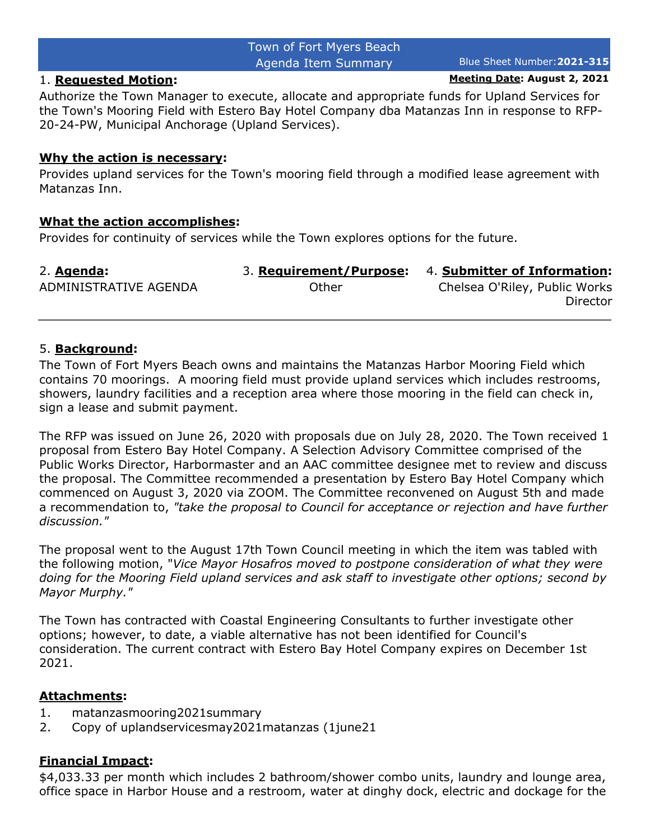# Town of Fort Myers Beach Agenda Item Summary Blue Sheet Number:**2021-315**

1. **Requested Motion: Meeting Date: August 2, 2021**

Authorize the Town Manager to execute, allocate and appropriate funds for Upland Services for the Town's Mooring Field with Estero Bay Hotel Company dba Matanzas Inn in response to RFP-20-24-PW, Municipal Anchorage (Upland Services).

#### **Why the action is necessary:**

Provides upland services for the Town's mooring field through a modified lease agreement with Matanzas Inn.

#### **What the action accomplishes:**

Provides for continuity of services while the Town explores options for the future.

| 2. Agenda:            |       | 3. Requirement/Purpose: 4. Submitter of Information: |
|-----------------------|-------|------------------------------------------------------|
| ADMINISTRATIVE AGENDA | Other | Chelsea O'Riley, Public Works                        |
|                       |       | Director                                             |

#### 5. **Background:**

The Town of Fort Myers Beach owns and maintains the Matanzas Harbor Mooring Field which contains 70 moorings. A mooring field must provide upland services which includes restrooms, showers, laundry facilities and a reception area where those mooring in the field can check in, sign a lease and submit payment.

The RFP was issued on June 26, 2020 with proposals due on July 28, 2020. The Town received 1 proposal from Estero Bay Hotel Company. A Selection Advisory Committee comprised of the Public Works Director, Harbormaster and an AAC committee designee met to review and discuss the proposal. The Committee recommended a presentation by Estero Bay Hotel Company which commenced on August 3, 2020 via ZOOM. The Committee reconvened on August 5th and made a recommendation to, *"take the proposal to Council for acceptance or rejection and have further discussion."*

The proposal went to the August 17th Town Council meeting in which the item was tabled with the following motion, "*Vice Mayor Hosafros moved to postpone consideration of what they were doing for the Mooring Field upland services and ask staff to investigate other options; second by Mayor Murphy."*

The Town has contracted with Coastal Engineering Consultants to further investigate other options; however, to date, a viable alternative has not been identified for Council's consideration. The current contract with Estero Bay Hotel Company expires on December 1st 2021.

# **Attachments:**

- 1. matanzasmooring2021summary
- 2. Copy of uplandservicesmay2021matanzas (1june21

# **Financial Impact:**

\$4,033.33 per month which includes 2 bathroom/shower combo units, laundry and lounge area, office space in Harbor House and a restroom, water at dinghy dock, electric and dockage for the